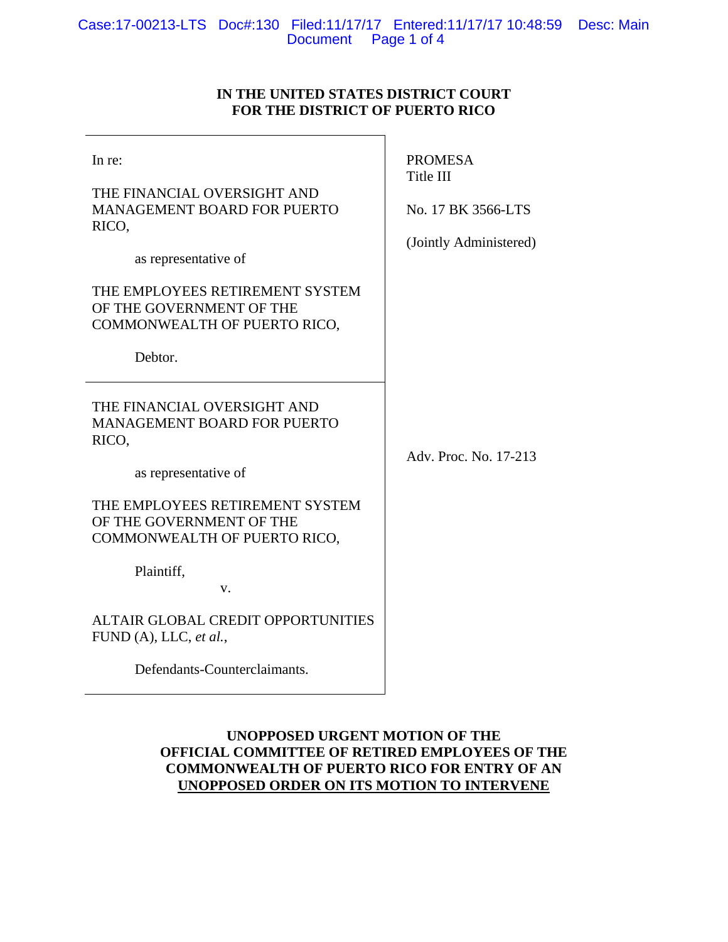# **IN THE UNITED STATES DISTRICT COURT FOR THE DISTRICT OF PUERTO RICO**

| In re:<br>THE FINANCIAL OVERSIGHT AND<br><b>MANAGEMENT BOARD FOR PUERTO</b><br>RICO,<br>as representative of<br>THE EMPLOYEES RETIREMENT SYSTEM<br>OF THE GOVERNMENT OF THE<br>COMMONWEALTH OF PUERTO RICO,<br>Debtor.                                                                | <b>PROMESA</b><br>Title III<br>No. 17 BK 3566-LTS<br>(Jointly Administered) |
|---------------------------------------------------------------------------------------------------------------------------------------------------------------------------------------------------------------------------------------------------------------------------------------|-----------------------------------------------------------------------------|
| THE FINANCIAL OVERSIGHT AND<br><b>MANAGEMENT BOARD FOR PUERTO</b><br>RICO,<br>as representative of<br>THE EMPLOYEES RETIREMENT SYSTEM<br>OF THE GOVERNMENT OF THE<br>COMMONWEALTH OF PUERTO RICO,<br>Plaintiff,<br>V.<br>ALTAIR GLOBAL CREDIT OPPORTUNITIES<br>FUND (A), LLC, et al., | Adv. Proc. No. 17-213                                                       |
| Defendants-Counterclaimants.                                                                                                                                                                                                                                                          |                                                                             |

# **UNOPPOSED URGENT MOTION OF THE OFFICIAL COMMITTEE OF RETIRED EMPLOYEES OF THE COMMONWEALTH OF PUERTO RICO FOR ENTRY OF AN UNOPPOSED ORDER ON ITS MOTION TO INTERVENE**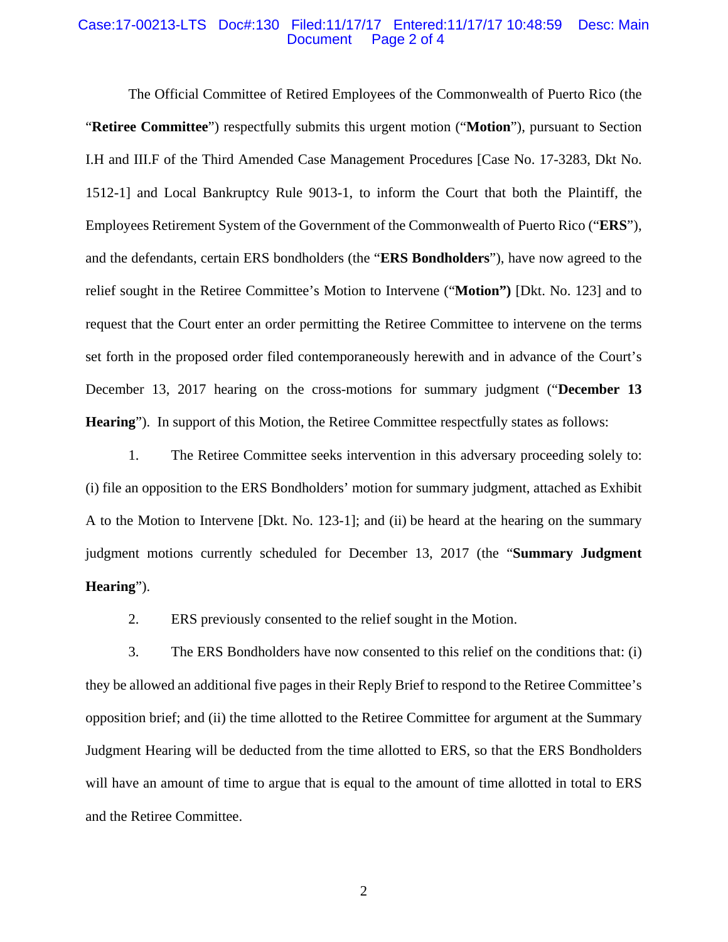### Case:17-00213-LTS Doc#:130 Filed:11/17/17 Entered:11/17/17 10:48:59 Desc: Main Page 2 of 4

 The Official Committee of Retired Employees of the Commonwealth of Puerto Rico (the "**Retiree Committee**") respectfully submits this urgent motion ("**Motion**"), pursuant to Section I.H and III.F of the Third Amended Case Management Procedures [Case No. 17-3283, Dkt No. 1512-1] and Local Bankruptcy Rule 9013-1, to inform the Court that both the Plaintiff, the Employees Retirement System of the Government of the Commonwealth of Puerto Rico ("**ERS**"), and the defendants, certain ERS bondholders (the "**ERS Bondholders**"), have now agreed to the relief sought in the Retiree Committee's Motion to Intervene ("**Motion")** [Dkt. No. 123] and to request that the Court enter an order permitting the Retiree Committee to intervene on the terms set forth in the proposed order filed contemporaneously herewith and in advance of the Court's December 13, 2017 hearing on the cross-motions for summary judgment ("**December 13 Hearing**"). In support of this Motion, the Retiree Committee respectfully states as follows:

1. The Retiree Committee seeks intervention in this adversary proceeding solely to: (i) file an opposition to the ERS Bondholders' motion for summary judgment, attached as Exhibit A to the Motion to Intervene [Dkt. No. 123-1]; and (ii) be heard at the hearing on the summary judgment motions currently scheduled for December 13, 2017 (the "**Summary Judgment Hearing**").

2. ERS previously consented to the relief sought in the Motion.

3. The ERS Bondholders have now consented to this relief on the conditions that: (i) they be allowed an additional five pages in their Reply Brief to respond to the Retiree Committee's opposition brief; and (ii) the time allotted to the Retiree Committee for argument at the Summary Judgment Hearing will be deducted from the time allotted to ERS, so that the ERS Bondholders will have an amount of time to argue that is equal to the amount of time allotted in total to ERS and the Retiree Committee.

2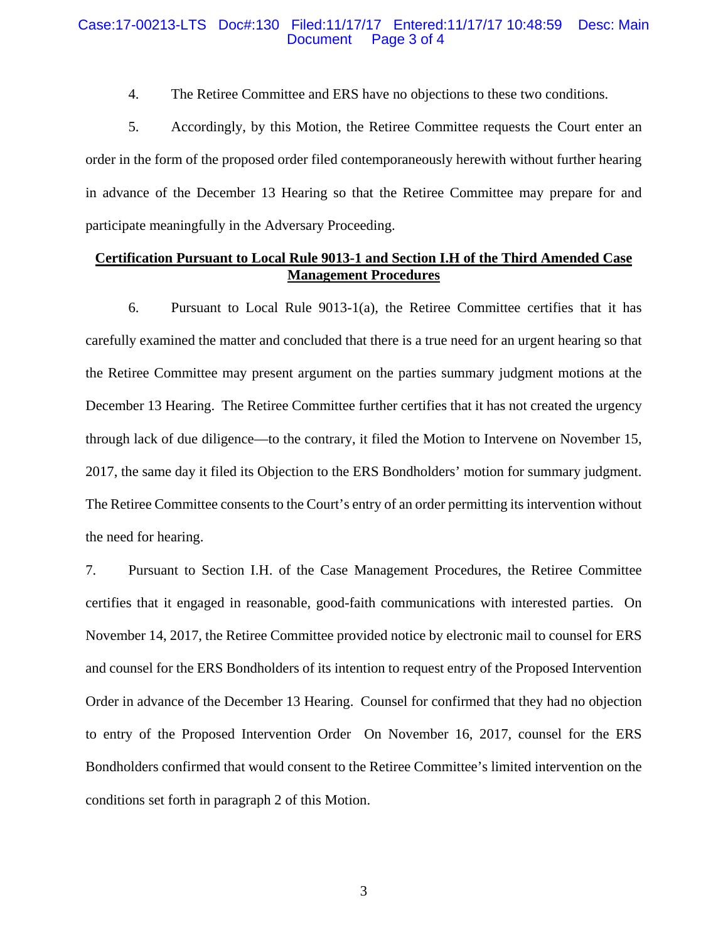### Case:17-00213-LTS Doc#:130 Filed:11/17/17 Entered:11/17/17 10:48:59 Desc: Main Page 3 of 4

4. The Retiree Committee and ERS have no objections to these two conditions.

5. Accordingly, by this Motion, the Retiree Committee requests the Court enter an order in the form of the proposed order filed contemporaneously herewith without further hearing in advance of the December 13 Hearing so that the Retiree Committee may prepare for and participate meaningfully in the Adversary Proceeding.

## **Certification Pursuant to Local Rule 9013-1 and Section I.H of the Third Amended Case Management Procedures**

6. Pursuant to Local Rule 9013-1(a), the Retiree Committee certifies that it has carefully examined the matter and concluded that there is a true need for an urgent hearing so that the Retiree Committee may present argument on the parties summary judgment motions at the December 13 Hearing. The Retiree Committee further certifies that it has not created the urgency through lack of due diligence—to the contrary, it filed the Motion to Intervene on November 15, 2017, the same day it filed its Objection to the ERS Bondholders' motion for summary judgment. The Retiree Committee consents to the Court's entry of an order permitting its intervention without the need for hearing.

7. Pursuant to Section I.H. of the Case Management Procedures, the Retiree Committee certifies that it engaged in reasonable, good-faith communications with interested parties. On November 14, 2017, the Retiree Committee provided notice by electronic mail to counsel for ERS and counsel for the ERS Bondholders of its intention to request entry of the Proposed Intervention Order in advance of the December 13 Hearing. Counsel for confirmed that they had no objection to entry of the Proposed Intervention Order On November 16, 2017, counsel for the ERS Bondholders confirmed that would consent to the Retiree Committee's limited intervention on the conditions set forth in paragraph 2 of this Motion.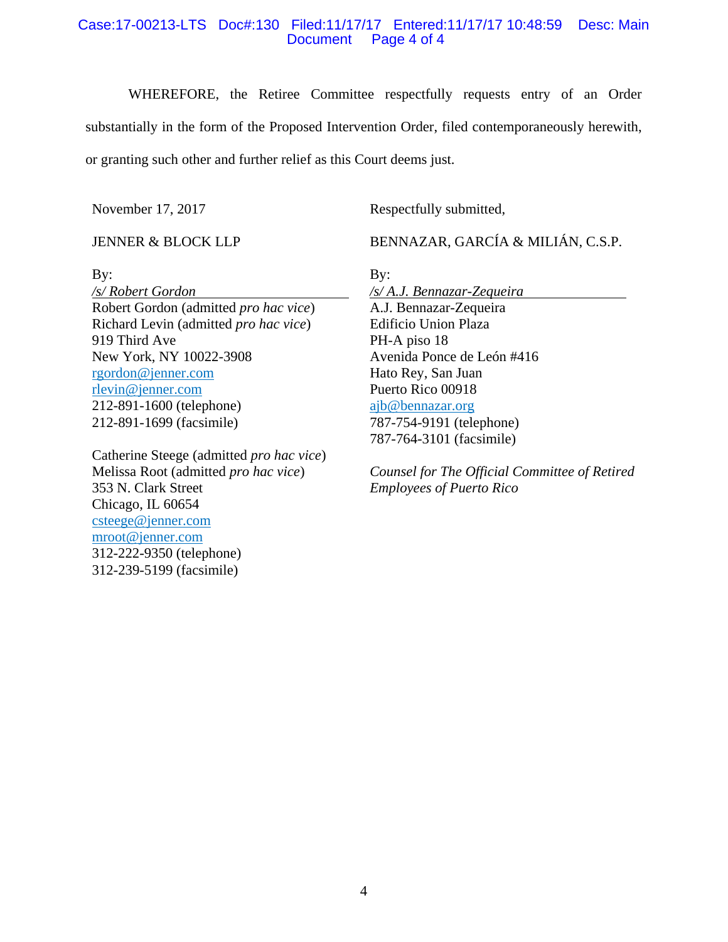## Case:17-00213-LTS Doc#:130 Filed:11/17/17 Entered:11/17/17 10:48:59 Desc: Main Document Page 4 of 4

WHEREFORE, the Retiree Committee respectfully requests entry of an Order substantially in the form of the Proposed Intervention Order, filed contemporaneously herewith, or granting such other and further relief as this Court deems just.

By:

November 17, 2017

Respectfully submitted,

JENNER & BLOCK LLP

BENNAZAR, GARCÍA & MILIÁN, C.S.P.

By:

*/s/ Robert Gordon*  Robert Gordon (admitted *pro hac vice*) Richard Levin (admitted *pro hac vice*) 919 Third Ave New York, NY 10022-3908 rgordon@jenner.com rlevin@jenner.com 212-891-1600 (telephone) 212-891-1699 (facsimile)

Catherine Steege (admitted *pro hac vice*) Melissa Root (admitted *pro hac vice*) 353 N. Clark Street Chicago, IL 60654 csteege@jenner.com mroot@jenner.com 312-222-9350 (telephone) 312-239-5199 (facsimile)

*/s/ A.J. Bennazar-Zequeira*  A.J. Bennazar-Zequeira Edificio Union Plaza PH-A piso 18 Avenida Ponce de León #416 Hato Rey, San Juan Puerto Rico 00918 ajb@bennazar.org 787-754-9191 (telephone) 787-764-3101 (facsimile)

*Counsel for The Official Committee of Retired Employees of Puerto Rico*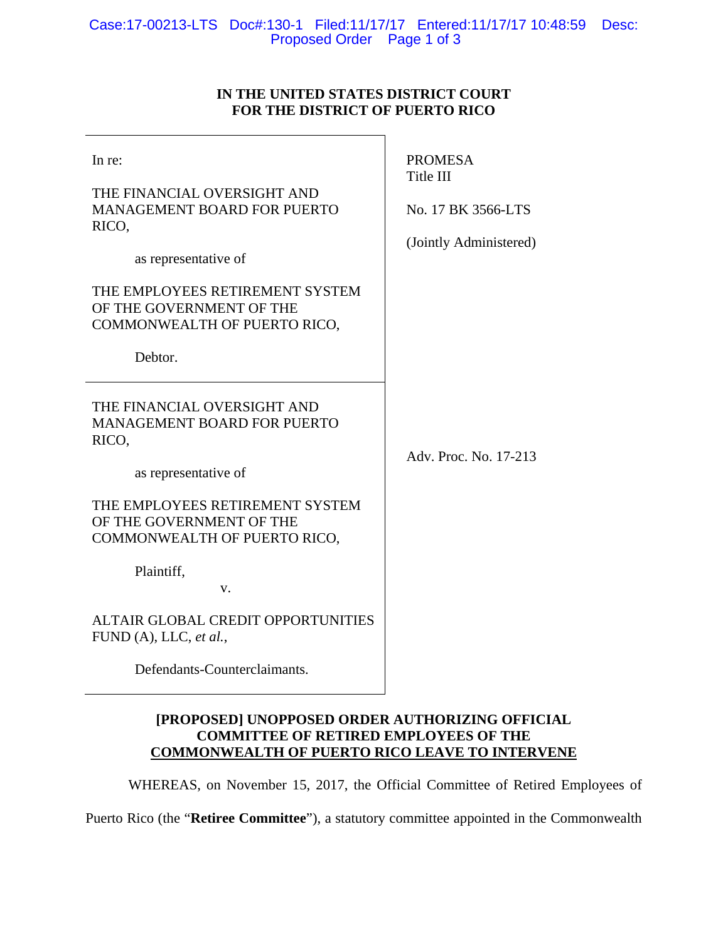## Case:17-00213-LTS Doc#:130-1 Filed:11/17/17 Entered:11/17/17 10:48:59 Desc: Proposed Order Page 1 of 3

# **IN THE UNITED STATES DISTRICT COURT FOR THE DISTRICT OF PUERTO RICO**

| In re:<br>THE FINANCIAL OVERSIGHT AND<br><b>MANAGEMENT BOARD FOR PUERTO</b><br>RICO,<br>as representative of<br>THE EMPLOYEES RETIREMENT SYSTEM<br>OF THE GOVERNMENT OF THE<br>COMMONWEALTH OF PUERTO RICO,                                                                                                           | <b>PROMESA</b><br>Title III<br>No. 17 BK 3566-LTS<br>(Jointly Administered) |
|-----------------------------------------------------------------------------------------------------------------------------------------------------------------------------------------------------------------------------------------------------------------------------------------------------------------------|-----------------------------------------------------------------------------|
| Debtor.                                                                                                                                                                                                                                                                                                               |                                                                             |
| THE FINANCIAL OVERSIGHT AND<br><b>MANAGEMENT BOARD FOR PUERTO</b><br>RICO,<br>as representative of<br>THE EMPLOYEES RETIREMENT SYSTEM<br>OF THE GOVERNMENT OF THE<br>COMMONWEALTH OF PUERTO RICO,<br>Plaintiff,<br>V.<br>ALTAIR GLOBAL CREDIT OPPORTUNITIES<br>FUND (A), LLC, et al.,<br>Defendants-Counterclaimants. | Adv. Proc. No. 17-213                                                       |

# **[PROPOSED] UNOPPOSED ORDER AUTHORIZING OFFICIAL COMMITTEE OF RETIRED EMPLOYEES OF THE COMMONWEALTH OF PUERTO RICO LEAVE TO INTERVENE**

WHEREAS, on November 15, 2017, the Official Committee of Retired Employees of

Puerto Rico (the "**Retiree Committee**"), a statutory committee appointed in the Commonwealth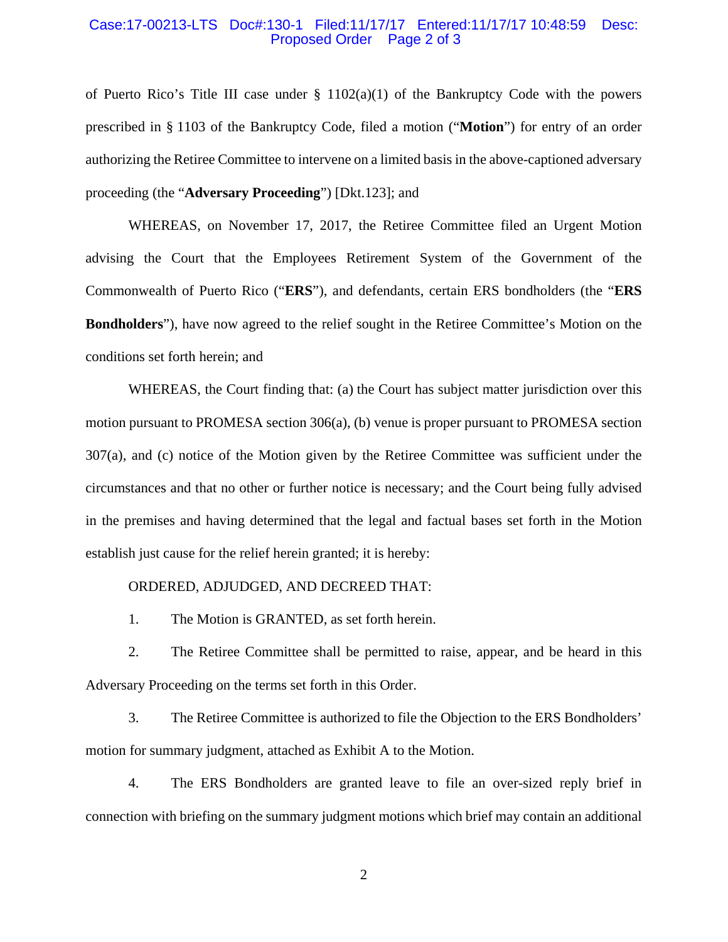#### Case:17-00213-LTS Doc#:130-1 Filed:11/17/17 Entered:11/17/17 10:48:59 Desc: Proposed Order Page 2 of 3

of Puerto Rico's Title III case under  $\S$  1102(a)(1) of the Bankruptcy Code with the powers prescribed in § 1103 of the Bankruptcy Code, filed a motion ("**Motion**") for entry of an order authorizing the Retiree Committee to intervene on a limited basis in the above-captioned adversary proceeding (the "**Adversary Proceeding**") [Dkt.123]; and

 WHEREAS, on November 17, 2017, the Retiree Committee filed an Urgent Motion advising the Court that the Employees Retirement System of the Government of the Commonwealth of Puerto Rico ("**ERS**"), and defendants, certain ERS bondholders (the "**ERS Bondholders**"), have now agreed to the relief sought in the Retiree Committee's Motion on the conditions set forth herein; and

 WHEREAS, the Court finding that: (a) the Court has subject matter jurisdiction over this motion pursuant to PROMESA section 306(a), (b) venue is proper pursuant to PROMESA section 307(a), and (c) notice of the Motion given by the Retiree Committee was sufficient under the circumstances and that no other or further notice is necessary; and the Court being fully advised in the premises and having determined that the legal and factual bases set forth in the Motion establish just cause for the relief herein granted; it is hereby:

#### ORDERED, ADJUDGED, AND DECREED THAT:

1. The Motion is GRANTED, as set forth herein.

2. The Retiree Committee shall be permitted to raise, appear, and be heard in this Adversary Proceeding on the terms set forth in this Order.

3. The Retiree Committee is authorized to file the Objection to the ERS Bondholders' motion for summary judgment, attached as Exhibit A to the Motion.

4. The ERS Bondholders are granted leave to file an over-sized reply brief in connection with briefing on the summary judgment motions which brief may contain an additional

2